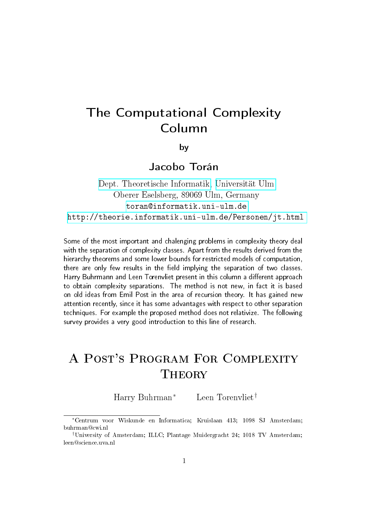# The Computational Complexity Column

by

Jacobo Torán

[Dept. Theoretische Informatik,](http://informatik.uni-ulm.de) [Universität Ulm](http://www.uni-ulm.de) Oberer Eselsberg, 89069 Ulm, Germany <toran@informatik.uni-ulm.de> <http://theorie.informatik.uni-ulm.de/Personen/jt.html>

Some of the most important and chalenging problems in complexity theory deal with the separation of complexity classes. Apart from the results derived from the hierarchy theorems and some lower bounds for restricted models of computation, there are only few results in the field implying the separation of two classes. Harry Buhrmann and Leen Torenvliet present in this column a different approach to obtain complexity separations. The method is not new, in fact it is based on old ideas from Emil Post in the area of recursion theory. It has gained new attention recently, since it has some advantages with respect to other separation techniques. For example the proposed method does not relativize. The following survey provides a very good introduction to this line of research.

## A Post's Program For Complexity **THEORY**

Harry Buhrman<sup>∗</sup> Leen Torenvliet†

<sup>∗</sup>Centrum voor Wiskunde en Informatica; Kruislaan 413; 1098 SJ Amsterdam; buhrman@cwi.nl

<sup>†</sup>University of Amsterdam; ILLC; Plantage Muidergracht 24; 1018 TV Amsterdam; leen@science.uva.nl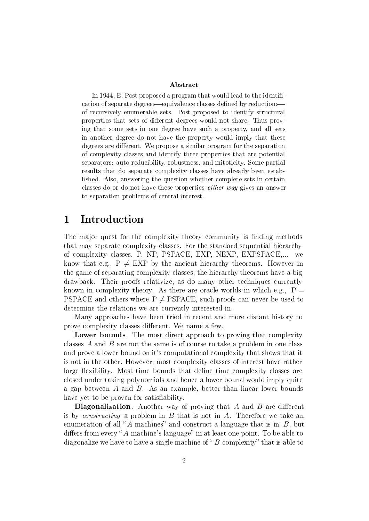#### Abstract

In 1944, E. Post proposed a program that would lead to the identification of separate degrees—equivalence classes defined by reductions of recursively enumerable sets. Post proposed to identify structural properties that sets of different degrees would not share. Thus proving that some sets in one degree have such a property, and all sets in another degree do not have the property would imply that these degrees are different. We propose a similar program for the separation of complexity classes and identify three properties that are potential separators: auto-reducibility, robustness, and mitoticity. Some partial results that do separate complexity classes have already been established. Also, answering the question whether complete sets in certain classes do or do not have these properties either way gives an answer to separation problems of central interest.

## 1 Introduction

The major quest for the complexity theory community is finding methods that may separate complexity classes. For the standard sequential hierarchy of complexity classes, P, NP, PSPACE, EXP, NEXP, EXPSPACE,... we know that e.g.,  $P \neq EXP$  by the ancient hierarchy theorems. However in the game of separating complexity classes, the hierarchy theorems have a big drawback. Their proofs relativize, as do many other techniques currently known in complexity theory. As there are oracle worlds in which e.g.,  $P =$ PSPACE and others where  $P \neq PSPACE$ , such proofs can never be used to determine the relations we are currently interested in.

Many approaches have been tried in recent and more distant history to prove complexity classes different. We name a few.

Lower bounds. The most direct approach to proving that complexity classes  $A$  and  $B$  are not the same is of course to take a problem in one class and prove a lower bound on it's computational complexity that shows that it is not in the other. However, most complexity classes of interest have rather large flexibility. Most time bounds that define time complexity classes are closed under taking polynomials and hence a lower bound would imply quite a gap between  $A$  and  $B$ . As an example, better than linear lower bounds have yet to be proven for satisfiability.

**Diagonalization**. Another way of proving that  $A$  and  $B$  are different is by *constructing* a problem in  $B$  that is not in  $A$ . Therefore we take an enumeration of all "A-machines" and construct a language that is in  $B$ , but differs from every "A-machine's language" in at least one point. To be able to diagonalize we have to have a single machine of  $B$ -complexity" that is able to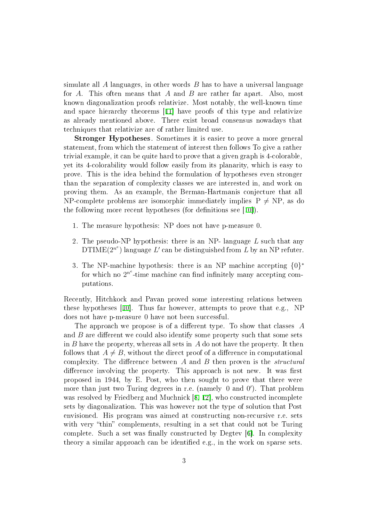simulate all  $\tilde{A}$  languages, in other words  $\tilde{B}$  has to have a universal language for A. This often means that A and B are rather far apart. Also, most known diagonalization proofs relativize. Most notably, the well-known time and space hierarchy theorems [[11\]](#page-11-0) have proofs of this type and relativize as already mentioned above. There exist broad consensus nowadays that techniques that relativize are of rather limited use.

Stronger Hypotheses. Sometimes it is easier to prove a more general statement, from which the statement of interest then follows To give a rather trivial example, it can be quite hard to prove that a given graph is 4-colorable, yet its 4-colorability would follow easily from its planarity, which is easy to prove. This is the idea behind the formulation of hypotheses even stronger than the separation of complexity classes we are interested in, and work on proving them. As an example, the Berman-Hartmanis conjecture that all NP-complete problems are isomorphic immediately implies  $P \neq NP$ , as do the following more recent hypotheses (for definitions see  $[10]$  $[10]$ ).

- 1. The measure hypothesis: NP does not have p-measure 0.
- 2. The pseudo-NP hypothesis: there is an NP- language  $L$  such that any DTIME( $2^{n^e}$ ) language L' can be distinguished from L by an NP refuter.
- 3. The NP-machine hypothesis: there is an NP machine accepting  $\{0\}^*$ for which no  $2^{n^e}$ -time machine can find infinitely many accepting computations.

Recently, Hitchkock and Pavan proved some interesting relations between these hypotheses [[10\]](#page-11-1). Thus far however, attempts to prove that e.g., NP does not have p-measure 0 have not been successful.

The approach we propose is of a different type. To show that classes  $A$ and  $B$  are different we could also identify some property such that some sets in  $B$  have the property, whereas all sets in  $A$  do not have the property. It then follows that  $A \neq B$ , without the direct proof of a difference in computational complexity. The difference between  $A$  and  $B$  then proven is the *structural* difference involving the property. This approach is not new. It was first proposed in 1944, by E. Post, who then sought to prove that there were more than just two Turing degrees in r.e. (namely 0 and 0'). That problem was resolved by Friedberg and Muchnick [[8,](#page-11-2) [12\]](#page-11-3), who constructed incomplete sets by diagonalization. This was however not the type of solution that Post envisioned. His program was aimed at constructing non-recursive r.e. sets with very "thin" complements, resulting in a set that could not be Turing complete. Such a set was finally constructed by Degtev  $|6|$ . In complexity theory a similar approach can be identified e.g., in the work on sparse sets.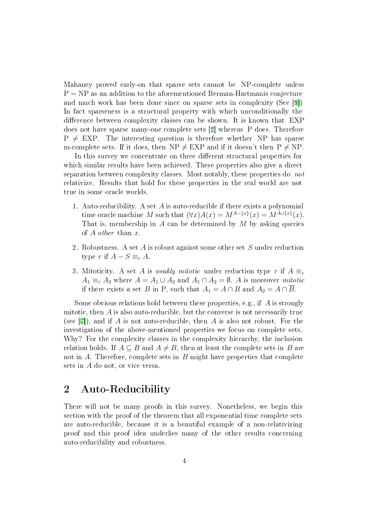Mahaney proved early-on that sparse sets cannot be NP-complete unless  $P = NP$  as an addition to the aforementioned Berman-Hartmanis conjecture and much work has been done since on sparse sets in complexity (See [[9\]](#page-11-5)) In fact sparseness is a structural property with which unconditionally the difference between complexity classes can be shown. It is known that EXP does not have sparse many-one complete sets [[2\]](#page-10-0) whereas P does. Therefore  $P \neq EXP$ . The interesting question is therefore whether NP has sparse m-complete sets. If it does, then  $NP \neq EXP$  and if it doesn't then  $P \neq NP$ .

In this survey we concentrate on three different structural properties for which similar results have been achieved. These properties also give a direct separation between complexity classes. Most notably, these properties do not relativize. Results that hold for these properties in the real world are not true in some oracle worlds.

- 1. Auto-reducibility. A set A is auto-reducible if there exists a polynomial time oracle machine M such that  $(\forall x)A(x) = M^{A-\{x\}}(x) = M^{A\cup\{x\}}(x)$ . That is, membership in  $A$  can be determined by  $M$  by asking queries of A other than x.
- 2. Robustness. A set A is robust against some other set S under reduction type r if  $A - S \equiv_r A$ .
- 3. Mitoticity. A set A is weakly mitotic under reduction type r if  $A \equiv_r$  $A_1 \equiv_r A_2$  where  $A = A_1 \cup A_2$  and  $A_1 \cap A_2 = \emptyset$ . A is moreover *mitotic* if there exists a set B in P, such that  $A_1 = A \cap B$  and  $A_2 = A \cap \overline{B}$ .

Some obvious relations hold between these properties, e.g., if  $A$  is strongly mitotic, then  $A$  is also auto-reducible, but the converse is not necessarily true (see [[7\]](#page-11-6)), and if A is not auto-reducible, then A is also not robust. For the investigation of the above-mentioned properties we focus on complete sets. Why? For the complexity classes in the complexity hierarchy, the inclusion relation holds. If  $A \subseteq B$  and  $A \neq B$ , then at least the complete sets in B are not in  $A$ . Therefore, complete sets in  $B$  might have properties that complete sets in A do not, or vice versa.

## 2 Auto-Reducibility

There will not be many proofs in this survey. Nonetheless, we begin this section with the proof of the theorem that all exponential time complete sets are auto-reducible, because it is a beautiful example of a non-relativizing proof and this proof idea underlies many of the other results concerning auto-reducibility and robustness.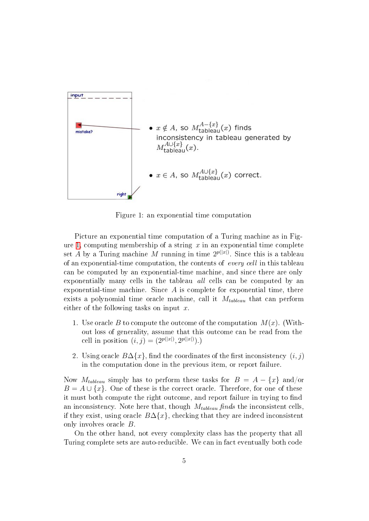

<span id="page-4-0"></span>Figure 1: an exponential time computation

Picture an exponential time computation of a Turing machine as in Fig-ure [1,](#page-4-0) computing membership of a string  $x$  in an exponential time complete set A by a Turing machine M running in time  $2^{p(|x|)}$ . Since this is a tableau of an exponential-time computation, the contents of every cell in this tableau can be computed by an exponential-time machine, and since there are only exponentially many cells in the tableau all cells can be computed by an exponential-time machine. Since  $A$  is complete for exponential time, there exists a polynomial time oracle machine, call it  $M_{tableau}$  that can perform either of the following tasks on input  $x$ .

- 1. Use oracle B to compute the outcome of the computation  $M(x)$ . (Without loss of generality, assume that this outcome can be read from the cell in position  $(i, j) = (2^{p(|x|)}, 2^{p(|x|)}).$
- 2. Using oracle  $B\Delta\{x\}$ , find the coordinates of the first inconsistency  $(i, j)$ in the computation done in the previous item, or report failure.

Now  $M_{tableau}$  simply has to perform these tasks for  $B = A - \{x\}$  and/or  $B = A \cup \{x\}$ . One of these is the correct oracle. Therefore, for one of these it must both compute the right outcome, and report failure in trying to find an inconsistency. Note here that, though  $M_{tableau}$  finds the inconsistent cells if they exist, using oracle  $B\Delta\{x\}$ , checking that they are indeed inconsistent only involves oracle B.

On the other hand, not every complexity class has the property that all Turing complete sets are auto-reducible. We can in fact eventually both code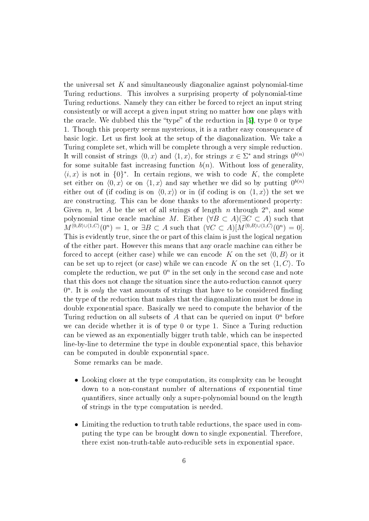the universal set  $K$  and simultaneously diagonalize against polynomial-time Turing reductions. This involves a surprising property of polynomial-time Turing reductions. Namely they can either be forced to reject an input string consistently or will accept a given input string no matter how one plays with the oracle. We dubbed this the "type" of the reduction in  $[5]$  $[5]$ , type 0 or type 1. Though this property seems mysterious, it is a rather easy consequence of basic logic. Let us first look at the setup of the diagonalization. We take a Turing complete set, which will be complete through a very simple reduction. It will consist of strings  $\langle 0, x \rangle$  and  $\langle 1, x \rangle$ , for strings  $x \in \Sigma^*$  and strings  $0^{b(n)}$ for some suitable fast increasing function  $b(n)$ . Without loss of generality,  $\langle i, x \rangle$  is not in  $\{0\}^*$ . In certain regions, we wish to code K, the complete set either on  $\langle 0, x \rangle$  or on  $\langle 1, x \rangle$  and say whether we did so by putting  $0^{b(n)}$ either out of (if coding is on  $(0, x)$ ) or in (if coding is on  $(1, x)$ ) the set we are constructing. This can be done thanks to the aforementioned property: Given n, let A be the set of all strings of length n through  $2^n$ , and some polynomial time oracle machine M. Either ( $\forall B \subset A$ )( $\exists C \subset A$ ) such that  $M^{\langle 0,B\rangle\cup\langle 1,C\rangle}(0^n) = 1$ , or  $\exists B \subset A$  such that  $(\forall C \subset A)[M^{\langle 0,B\rangle\cup\langle 1,C\rangle}(0^n) = 0].$ This is evidently true, since the or part of this claim is just the logical negation of the either part. However this means that any oracle machine can either be forced to accept (either case) while we can encode K on the set  $\langle 0, B \rangle$  or it can be set up to reject (or case) while we can encode K on the set  $\langle 1, C \rangle$ . To complete the reduction, we put  $0^n$  in the set only in the second case and note that this does not change the situation since the auto-reduction cannot query  $0<sup>n</sup>$ . It is only the vast amounts of strings that have to be considered finding the type of the reduction that makes that the diagonalization must be done in double exponential space. Basically we need to compute the behavior of the Turing reduction on all subsets of  $A$  that can be queried on input  $0<sup>n</sup>$  before we can decide whether it is of type 0 or type 1. Since a Turing reduction can be viewed as an exponentially bigger truth table, which can be inspected line-by-line to determine the type in double exponential space, this behavior can be computed in double exponential space.

Some remarks can be made.

- Looking closer at the type computation, its complexity can be brought down to a non-constant number of alternations of exponential time quantifiers, since actually only a super-polynomial bound on the length of strings in the type computation is needed.
- Limiting the reduction to truth table reductions, the space used in computing the type can be brought down to single exponential. Therefore, there exist non-truth-table auto-reducible sets in exponential space.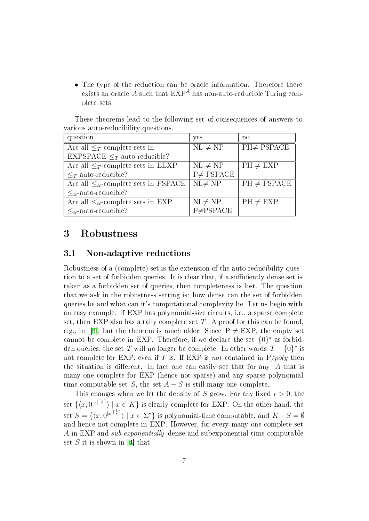• The type of the reduction can be oracle information. Therefore there exists an oracle  $A$  such that  $\mathrm{EXP}^A$  has non-auto-reducible Turing complete sets.

These theorems lead to the following set of consequences of answers to various auto-reducibility questions.

| question                                     | yes             | no               |
|----------------------------------------------|-----------------|------------------|
| Are all $\leq_T$ -complete sets in           | $NL \neq NP$    | $PH \neq PSPACE$ |
| EXPSPACE $\leq_T$ auto-reducible?            |                 |                  |
| Are all $\leq_T$ -complete sets in EEXP      | $NL \neq NP$    | $PH \neq EXP$    |
| $\leq_T$ auto-reducible?                     | $P \neq PSPACE$ |                  |
| Are all $\leq_{tt}$ -complete sets in PSPACE | $NL \neq NP$    | $PH \neq PSPACE$ |
| $\lt_{\mathit{tt}}$ -auto-reducible?         |                 |                  |
| Are all $\leq_{tt}$ -complete sets in EXP    | $NL \neq NP$    | $PH \neq EXP$    |
| $\lt_{tt}$ -auto-reducible?                  | $P\neq PSPACE$  |                  |

## 3 Robustness

#### 3.1 Non-adaptive reductions

Robustness of a (complete) set is the extension of the auto-reducibility question to a set of forbidden queries. It is clear that, if a sufficiently dense set is taken as a forbidden set of queries, then completeness is lost. The question that we ask in the robustness setting is: how dense can the set of forbidden queries be and what can it's computational complexity be. Let us begin with an easy example. If EXP has polynomial-size circuits, i.e., a sparse complete set, then EXP also has a tally complete set  $T$ . A proof for this can be found e.g., in [\[3\]](#page-10-1), but the theorem is much older. Since  $P \neq EXP$ , the empty set cannot be complete in EXP. Therefore, if we declare the set  $\{0\}^*$  as forbidden queries, the set  $T$  will no longer be complete. In other words  $T - \{0\}^*$  is not complete for EXP, even if T is. If EXP is not contained in  $P/poly$  then the situation is different. In fact one can easily see that for any  $A$  that is many-one complete for EXP (hence not sparse) and any sparse polynomial time computable set S, the set  $A - S$  is still many-one complete.

This changes when we let the density of S grow. For any fixed  $\epsilon > 0$ , the set  $\{\langle x, 0^{|x|^{\lceil \frac{1}{\epsilon} \rceil}}\rangle \mid x \in K\}$  is clearly complete for EXP. On the other hand, the set  $S = \{ \langle x, 0^{|x|^{\lceil \frac{1}{e} \rceil}} \rangle \mid x \in \Sigma^* \}$  is polynomial-time computable, and  $K-S = \emptyset$ and hence not complete in EXP. However, for every many-one complete set A in EXP and sub-exponentially dense and subexponential-time computable set  $S$  it is shown in [[4\]](#page-10-2) that.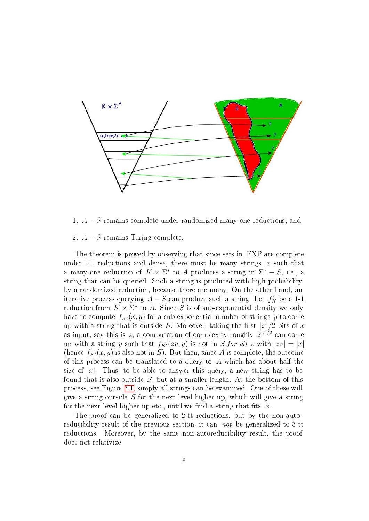

- 1. A − S remains complete under randomized many-one reductions, and
- <span id="page-7-0"></span>2.  $A - S$  remains Turing complete.

The theorem is proved by observing that since sets in EXP are complete under 1-1 reductions and dense, there must be many strings  $x$  such that a many-one reduction of  $K \times \Sigma^*$  to A produces a string in  $\Sigma^* - S$ , i.e., a string that can be queried. Such a string is produced with high probability by a randomized reduction, because there are many. On the other hand, an iterative process querying  $A-S$  can produce such a string. Let  $f'_K$  be a 1-1 reduction from  $K \times \Sigma^*$  to A. Since S is of sub-exponential density we only have to compute  $f_{K'}(x, y)$  for a sub-exponential number of strings y to come up with a string that is outside S. Moreover, taking the first  $|x|/2$  bits of x as input, say this is z, a computation of complexity roughly  $2^{|x|/2}$  can come up with a string y such that  $f_{K'}(zv, y)$  is not in S for all v with  $|zv| = |x|$ (hence  $f_{K'}(x, y)$  is also not in S). But then, since A is complete, the outcome of this process can be translated to a query to  $A$  which has about half the size of  $|x|$ . Thus, to be able to answer this query, a new string has to be found that is also outside  $S$ , but at a smaller length. At the bottom of this process, see Figure [3.1,](#page-7-0) simply all strings can be examined. One of these will give a string outside  $S$  for the next level higher up, which will give a string for the next level higher up etc., until we find a string that fits  $x$ .

The proof can be generalized to 2-tt reductions, but by the non-autoreducibility result of the previous section, it can not be generalized to 3-tt reductions. Moreover, by the same non-autoreducibility result, the proof does not relativize.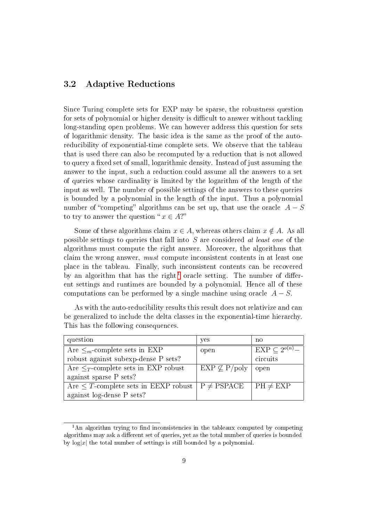### 3.2 Adaptive Reductions

Since Turing complete sets for EXP may be sparse, the robustness question for sets of polynomial or higher density is difficult to answer without tackling long-standing open problems. We can however address this question for sets of logarithmic density. The basic idea is the same as the proof of the autoreducibility of exponential-time complete sets. We observe that the tableau that is used there can also be recomputed by a reduction that is not allowed to query a fixed set of small, logarithmic density. Instead of just assuming the answer to the input, such a reduction could assume all the answers to a set of queries whose cardinality is limited by the logarithm of the length of the input as well. The number of possible settings of the answers to these queries is bounded by a polynomial in the length of the input. Thus a polynomial number of "competing" algorithms can be set up, that use the oracle  $A - S$ to try to answer the question " $x \in A$ ?"

Some of these algorithms claim  $x \in A$ , whereas others claim  $x \notin A$ . As all possible settings to queries that fall into S are considered at least one of the algorithms must compute the right answer. Moreover, the algorithms that claim the wrong answer, must compute inconsistent contents in at least one place in the tableau. Finally, such inconsistent contents can be recovered by an algorithm that has the right<sup>[1](#page-8-0)</sup> oracle setting. The number of different settings and runtimes are bounded by a polynomial. Hence all of these computations can be performed by a single machine using oracle  $A - S$ .

| question                                                        | yes                     | no                       |
|-----------------------------------------------------------------|-------------------------|--------------------------|
| Are $\leq_m$ -complete sets in EXP                              | open                    | $EXP \subset 2^{o(n)}$ . |
| robust against subexp-dense P sets?                             |                         | circuits                 |
| Are $\leq_T$ -complete sets in EXP robust                       | $EXP \nsubseteq P/poly$ | open                     |
| against sparse P sets?                                          |                         |                          |
| Are $\leq T$ -complete sets in EEXP robust $\mid P \neq PSPACE$ |                         | $PH \neq EXP$            |
| against log-dense P sets?                                       |                         |                          |

As with the auto-reducibility results this result does not relativize and can be generalized to include the delta classes in the exponential-time hierarchy. This has the following consequences.

<span id="page-8-0"></span> $1$ An algorithm trying to find inconsistencies in the tableaux computed by competing algorithms may ask a different set of queries, yet as the total number of queries is bounded by  $\log|x|$  the total number of settings is still bounded by a polynomial.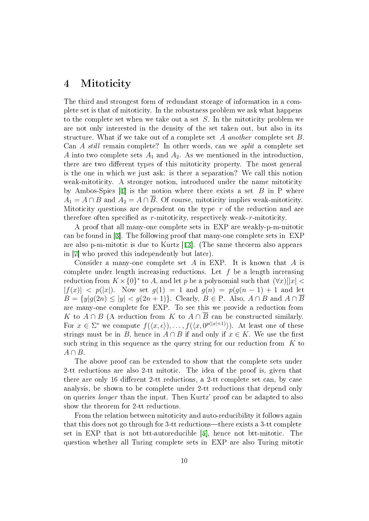## 4 Mitoticity

The third and strongest form of redundant storage of information in a complete set is that of mitoticity. In the robustness problem we ask what happens to the complete set when we take out a set S. In the mitoticity problem we are not only interested in the density of the set taken out, but also in its structure. What if we take out of a complete set A another complete set B. Can A still remain complete? In other words, can we split a complete set A into two complete sets  $A_1$  and  $A_2$ . As we mentioned in the introduction there are two different types of this mitoticity property. The most general is the one in which we just ask: is there a separation? We call this notion weak-mitoticity. A stronger notion, introduced under the name mitoticity by Ambos-Spies  $[1]$  $[1]$  is the notion where there exists a set  $B$  in P where  $A_1 = A \cap B$  and  $A_2 = A \cap \overline{B}$ . Of course, mitoticity implies weak-mitoticity. Mitoticity questions are dependent on the type  $r$  of the reduction and are therefore often specified as  $r$ -mitoticity, respectively weak- $r$ -mitoticity.

A proof that all many-one complete sets in EXP are weakly-p-m-mitotic can be found in [[3\]](#page-10-1). The following proof that many-one complete sets in EXP are also p-m-mitotic is due to Kurtz [[13\]](#page-11-8). (The same theorem also appears in [[7\]](#page-11-6) who proved this independently but later).

Consider a many-one complete set  $A$  in EXP. It is known that  $A$  is complete under length increasing reductions. Let  $f$  be a length increasing reduction from  $K \times \{0\}^*$  to A, and let p be a polynomial such that  $(\forall x)[|x| <$  $|f(x)| < p(|x|)$ . Now set  $q(1) = 1$  and  $q(n) = p(q(n-1) + 1)$  and let  $B = \{y|g(2n) \leq |y| < g(2n+1)\}\$ . Clearly,  $B \in \mathcal{P}$ . Also,  $A \cap B$  and  $A \cap \overline{B}$ are many-one complete for EXP. To see this we provide a reduction from K to  $A \cap B$  (A reduction from K to  $A \cap \overline{B}$  can be constructed similarly. For  $x \in \Sigma^*$  we compute  $f(\langle x, \epsilon \rangle), \ldots, f(\langle x, 0^{p(|x|+1)} \rangle)$ . At least one of these strings must be in B, hence in  $A \cap B$  if and only if  $x \in K$ . We use the first such string in this sequence as the query string for our reduction from  $K$  to  $A \cap B$ .

The above proof can be extended to show that the complete sets under 2-tt reductions are also 2-tt mitotic. The idea of the proof is, given that there are only 16 different 2-tt reductions, a 2-tt complete set can, by case analysis, be shown to be complete under 2-tt reductions that depend only on queries longer than the input. Then Kurtz' proof can be adapted to also show the theorem for 2-tt reductions.

From the relation between mitoticity and auto-reducibility it follows again that this does not go through for  $3$ -tt reductions—there exists a  $3$ -tt complete set in EXP that is not btt-autoreducible [[5\]](#page-11-7), hence not btt-mitotic. The question whether all Turing complete sets in EXP are also Turing mitotic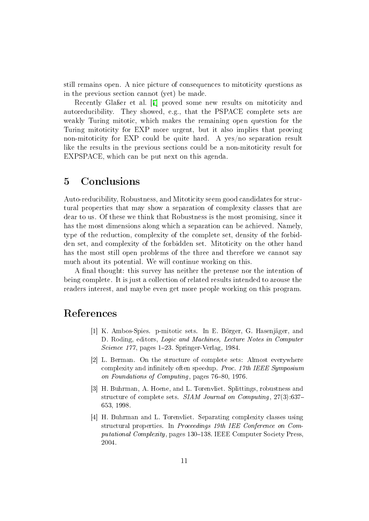still remains open. A nice picture of consequences to mitoticity questions as in the previous section cannot (yet) be made.

Recently Gla<sub>s</sub> et al. [[7\]](#page-11-6) proved some new results on mitoticity and autoreducibility. They showed, e.g., that the PSPACE complete sets are weakly Turing mitotic, which makes the remaining open question for the Turing mitoticity for EXP more urgent, but it also implies that proving non-mitoticity for EXP could be quite hard. A yes/no separation result like the results in the previous sections could be a non-mitoticity result for EXPSPACE, which can be put next on this agenda.

## 5 Conclusions

Auto-reducibility, Robustness, and Mitoticity seem good candidates for structural properties that may show a separation of complexity classes that are dear to us. Of these we think that Robustness is the most promising, since it has the most dimensions along which a separation can be achieved. Namely, type of the reduction, complexity of the complete set, density of the forbidden set, and complexity of the forbidden set. Mitoticity on the other hand has the most still open problems of the three and therefore we cannot say much about its potential. We will continue working on this.

A final thought: this survey has neither the pretense nor the intention of being complete. It is just a collection of related results intended to arouse the readers interest, and maybe even get more people working on this program.

## <span id="page-10-3"></span>References

- [1] K. Ambos-Spies. p-mitotic sets. In E. Börger, G. Hasenjäger, and D. Roding, editors, Logic and Machines, Lecture Notes in Computer Science 177, pages 1-23. Springer-Verlag, 1984.
- <span id="page-10-0"></span>[2] L. Berman. On the structure of complete sets: Almost everywhere complexity and infinitely often speedup. Proc.  $17th$  IEEE Symposium on Foundations of Computing, pages  $76-80$ , 1976.
- <span id="page-10-1"></span>[3] H. Buhrman, A. Hoene, and L. Torenvliet. Splittings, robustness and structure of complete sets. SIAM Journal on Computing, 27(3):637 653, 1998.
- <span id="page-10-2"></span>[4] H. Buhrman and L. Torenvliet. Separating complexity classes using structural properties. In Proceedings 19th IEE Conference on Computational Complexity, pages 130–138. IEEE Computer Society Press, 2004.